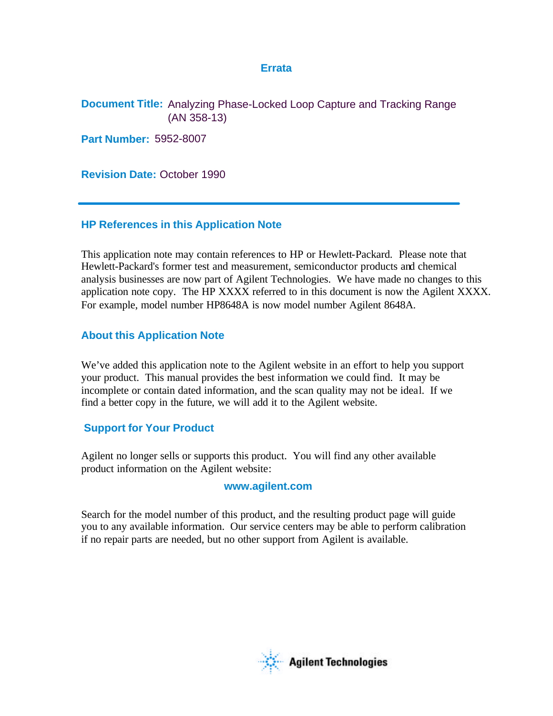# **Errata**

**Document Title:** Analyzing Phase-Locked Loop Capture and Tracking Range (AN 358-13)

**Part Number:** 5952-8007

**Revision Date:** October 1990

# **HP References in this Application Note**

This application note may contain references to HP or Hewlett-Packard. Please note that Hewlett-Packard's former test and measurement, semiconductor products and chemical analysis businesses are now part of Agilent Technologies. We have made no changes to this application note copy. The HP XXXX referred to in this document is now the Agilent XXXX. For example, model number HP8648A is now model number Agilent 8648A.

# **About this Application Note**

We've added this application note to the Agilent website in an effort to help you support your product. This manual provides the best information we could find. It may be incomplete or contain dated information, and the scan quality may not be ideal. If we find a better copy in the future, we will add it to the Agilent website.

# **Support for Your Product**

Agilent no longer sells or supports this product. You will find any other available product information on the Agilent website:

# **www.agilent.com**

Search for the model number of this product, and the resulting product page will guide you to any available information. Our service centers may be able to perform calibration if no repair parts are needed, but no other support from Agilent is available.

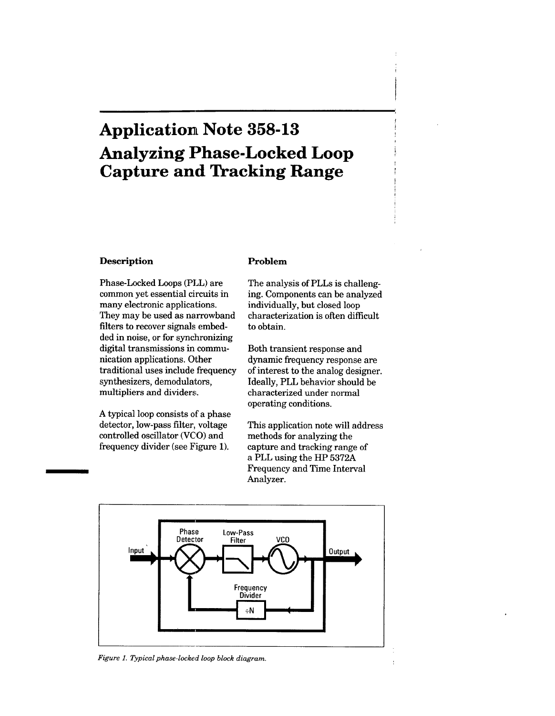# **Application Note 358-13 Analyzing Phase-Locked Loop Capture and Tracking Range**

### **Description**

Phase-Locked Loops (PLL) are common yet essential circuits in many electronic applications. They may be used as narrowband filters to recover signals embedded in noise, or for synchronizing digital transmissions in communication applications. Other traditional uses include frequency synthesizers, demodulators, multipliers and dividers.

A typical loop consists of a phase detector, low-pass filter, voltage controlled oscillator (VCO) and frequency divider (see Figure 1).

### Problem

The analysis of PLLs is challenging. Components can be analyzed individually, but closed loop characterization is often difficult to obtain.

Both transient response and dynamic frequency response are of interest to the analog designer. Ideally, PLL behavior should be characterized under normal operating conditions.

This application note will address methods for analyzing the capture and tracking range of a PLL using the HP 5372A Frequency and Time Interval Analyzer.



Figure 1. Typical phase-locked loop block diagram.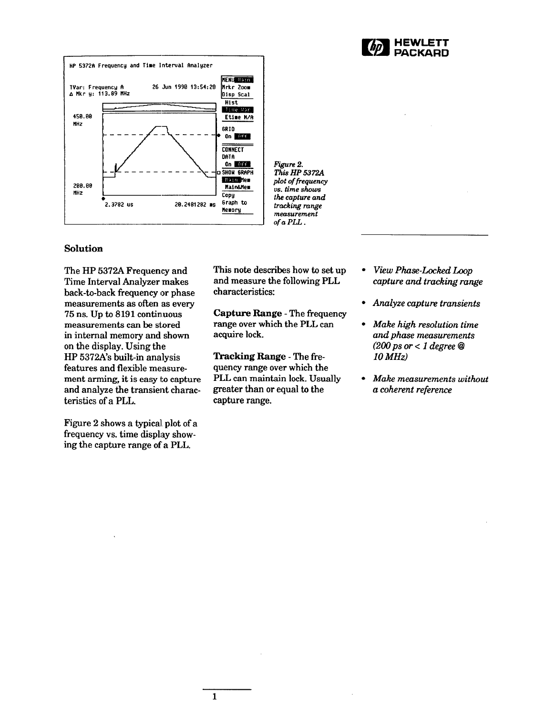



Figure 2. This HP 5372A plot of frequency vs. time shows the capture and tracking range measurement of a PLL.

### Solution

The HP 5372A Frequency and Time Interval Analyzer makes back-to-back frequency or phase measurements as often as every 75 ns. Up to 8191 continuous measurements can be stored in internal memory and shown on the display. Using the HP 5372A's built-in analysis features and flexible measurement arming, it is easy to capture and analyze the transient characteristics of a PLL.

Figure 2 shows a typical plot of a frequency vs. time display showing the capture range of a PLL.

This note describes how to set up and measure the following PLL characteristics:

**Capture Range - The frequency** range over which the PLL can acquire lock.

Tracking Range - The frequency range over which the PLL can maintain lock. Usually greater than or equal to the capture range.

 $\mathbf{1}$ 

- View Phase-Locked Loop capture and tracking range
- Analyze capture transients
- Make high resolution time and phase measurements (200 ps or < 1 degree  $@$  $10 MHz$
- Make measurements without a coherent reference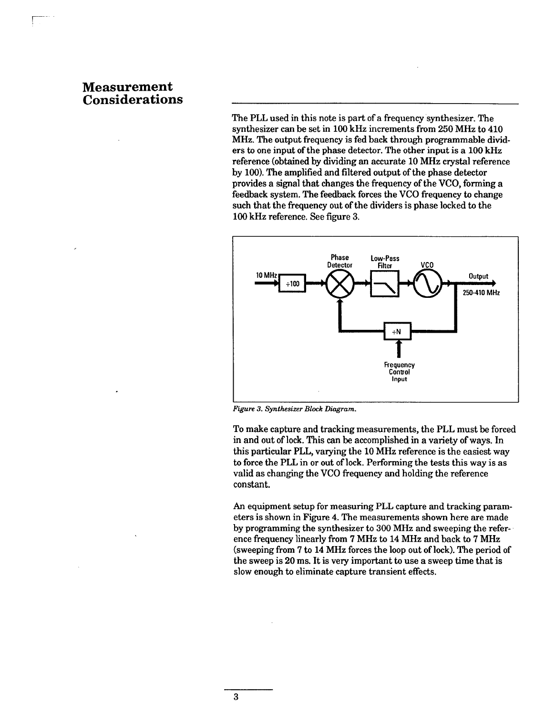# **Measurement Considerations**

The PLL used in this note is part of a frequency synthesizer. The synthesizer can be set in 100 kHz increments from 250 MHz to 410 MHz. The output frequency is fed back through programmable dividers to one input of the phase detector. The other input is a 100 kHz reference (obtained by dividing an accurate 10 MHz crystal reference by 100). The amplified and filtered output of the phase detector provides a signal that changes the frequency of the VCO, forming a feedback system. The feedback forces the VCO frequency to change such that the frequency out of the dividers is phase locked to the 100 kHz reference. See figure 3.



Figure 3. Synthesizer Block Diagram.

To make capture and tracking measurements, the PLL must be forced in and out of lock. This can be accomplished in a variety of ways. In this particular PLL, varying the 10 MHz reference is the easiest way to force the PLL in or out of lock. Performing the tests this way is as valid as changing the VCO frequency and holding the reference constant.

An equipment setup for measuring PLL capture and tracking parameters is shown in Figure 4. The measurements shown here are made by programming the synthesizer to 300 MHz and sweeping the reference frequency linearly from 7 MHz to 14 MHz and back to 7 MHz (sweeping from 7 to 14 MHz forces the loop out of lock). The period of the sweep is 20 ms. It is very important to use a sweep time that is slow enough to eliminate capture transient effects.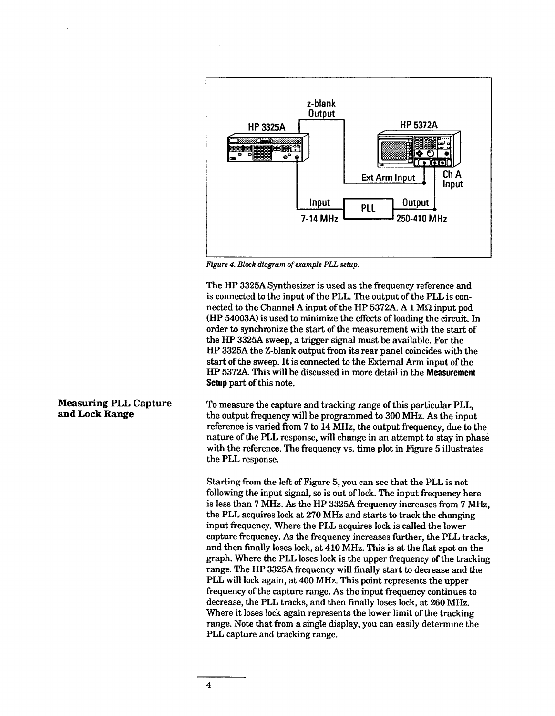

Figure 4. Block diagram of example PLL setup.

The HP 3325A Synthesizer is used as the frequency reference and is connected to the input of the PLL. The output of the PLL is connected to the Channel A input of the HP 5372A. A 1  $\text{M}\Omega$  input pod (HP 54003A) is used to minimize the effects of loading the circuit. In order to synchronize the start of the measurement with the start of the HP 3325A sweep, a trigger signal must be available. For the HP 3325A the Z-blank output from its rear panel coincides with the start of the sweep. It is connected to the External Arm input of the HP 5372A. This will be discussed in more detail in the Measurement Setup part of this note.

To measure the capture and tracking range of this particular PLL. the output frequency will be programmed to 300 MHz. As the input reference is varied from 7 to 14 MHz, the output frequency, due to the nature of the PLL response, will change in an attempt to stay in phase with the reference. The frequency vs. time plot in Figure 5 illustrates the PLL response.

Starting from the left of Figure 5, you can see that the PLL is not following the input signal, so is out of lock. The input frequency here is less than 7 MHz. As the HP 3325A frequency increases from 7 MHz. the PLL acquires lock at 270 MHz and starts to track the changing input frequency. Where the PLL acquires lock is called the lower capture frequency. As the frequency increases further, the PLL tracks, and then finally loses lock, at 410 MHz. This is at the flat spot on the graph. Where the PLL loses lock is the upper frequency of the tracking range. The HP 3325A frequency will finally start to decrease and the PLL will lock again, at 400 MHz. This point represents the upper frequency of the capture range. As the input frequency continues to decrease, the PLL tracks, and then finally loses lock, at 260 MHz. Where it loses lock again represents the lower limit of the tracking range. Note that from a single display, you can easily determine the PLL capture and tracking range.

**Measuring PLL Capture** and Lock Range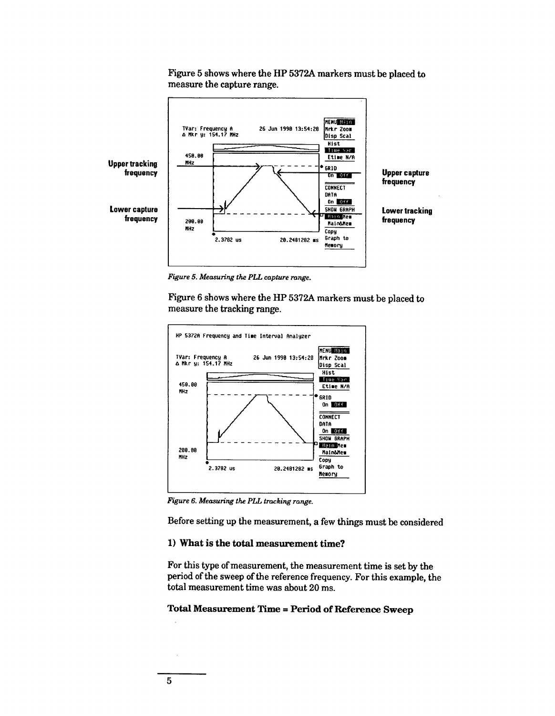

Figure 5 shows where the HP 5372A markers must be placed to measure the capture range.

Figure 5. Measuring the PLL capture range.

Figure 6 shows where the HP 5372A markers must be placed to measure the tracking range.



Figure 6. Measuring the PLL tracking range.

Before setting up the measurement, a few things must be considered

# 1) What is the total measurement time?

For this type of measurement, the measurement time is set by the period of the sweep of the reference frequency. For this example, the total measurement time was about 20 ms.

# **Total Measurement Time = Period of Reference Sweep**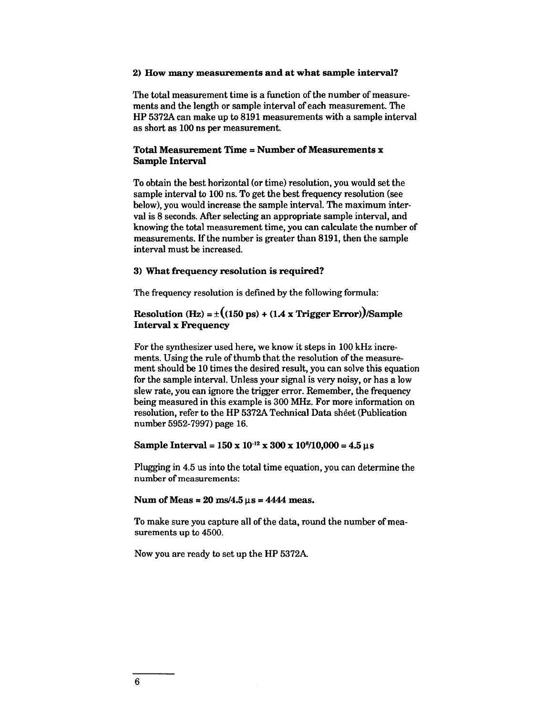### 2) How many measurements and at what sample interval?

The total measurement time is a function of the number of measurements and the length or sample interval of each measurement. The HP 5372A can make up to 8191 measurements with a sample interval as short as 100 ns per measurement.

# **Total Measurement Time = Number of Measurements x Sample Interval**

To obtain the best horizontal (or time) resolution, you would set the sample interval to 100 ns. To get the best frequency resolution (see below), you would increase the sample interval. The maximum interval is 8 seconds. After selecting an appropriate sample interval, and knowing the total measurement time, you can calculate the number of measurements. If the number is greater than 8191, then the sample interval must be increased.

# 3) What frequency resolution is required?

The frequency resolution is defined by the following formula:

# Resolution (Hz) =  $\pm$  ((150 ps) + (1.4 x Trigger Error))/Sample **Interval x Frequency**

For the synthesizer used here, we know it steps in 100 kHz increments. Using the rule of thumb that the resolution of the measurement should be 10 times the desired result, you can solve this equation for the sample interval. Unless your signal is very noisy, or has a low slew rate, you can ignore the trigger error. Remember, the frequency being measured in this example is 300 MHz. For more information on resolution, refer to the HP 5372A Technical Data sheet (Publication number 5952-7997) page 16.

# Sample Interval =  $150 \times 10^{-12} \times 300 \times 10^{6}/10{,}000 = 4.5 \text{ }\mu\text{s}$

Plugging in 4.5 us into the total time equation, you can determine the number of measurements:

### Num of Meas =  $20 \text{ ms}/4.5 \text{ }\mu\text{s} = 4444 \text{ meas.}$

To make sure you capture all of the data, round the number of measurements up to 4500.

Now you are ready to set up the HP 5372A.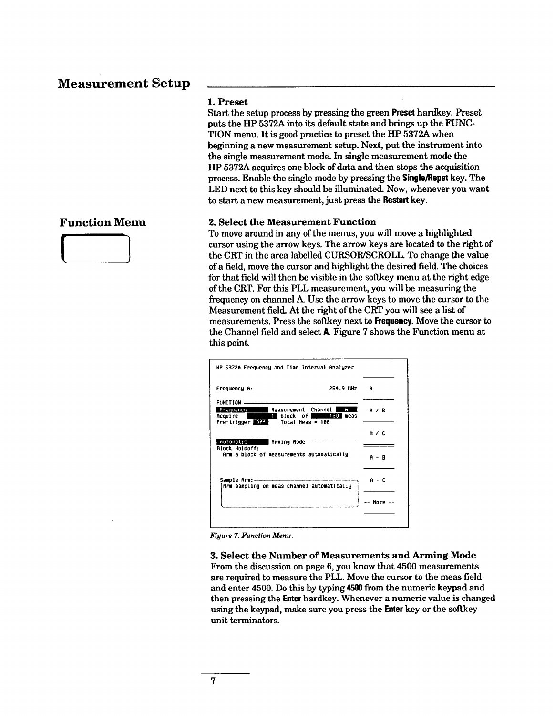# **Measurement Setup**

# **Function Menu**



# 1. Preset

Start the setup process by pressing the green Preset hardkey. Preset puts the HP 5372A into its default state and brings up the FUNC-TION menu. It is good practice to preset the HP 5372A when beginning a new measurement setup. Next, put the instrument into the single measurement mode. In single measurement mode the HP 5372A acquires one block of data and then stops the acquisition process. Enable the single mode by pressing the Single/Repet key. The LED next to this key should be illuminated. Now, whenever you want to start a new measurement, just press the Restart key.

### 2. Select the Measurement Function

To move around in any of the menus, you will move a highlighted cursor using the arrow keys. The arrow keys are located to the right of the CRT in the area labelled CURSOR/SCROLL. To change the value of a field, move the cursor and highlight the desired field. The choices for that field will then be visible in the softkey menu at the right edge of the CRT. For this PLL measurement, you will be measuring the frequency on channel A. Use the arrow keys to move the cursor to the Measurement field. At the right of the CRT you will see a list of measurements. Press the softkey next to Frequency. Move the cursor to the Channel field and select A. Figure 7 shows the Function menu at this point.



Figure 7. Function Menu.

3. Select the Number of Measurements and Arming Mode From the discussion on page 6, you know that 4500 measurements are required to measure the PLL. Move the cursor to the meas field and enter 4500. Do this by typing 4500 from the numeric keypad and then pressing the **Enter** hardkey. Whenever a numeric value is changed using the keypad, make sure you press the **Enter** key or the softkey unit terminators.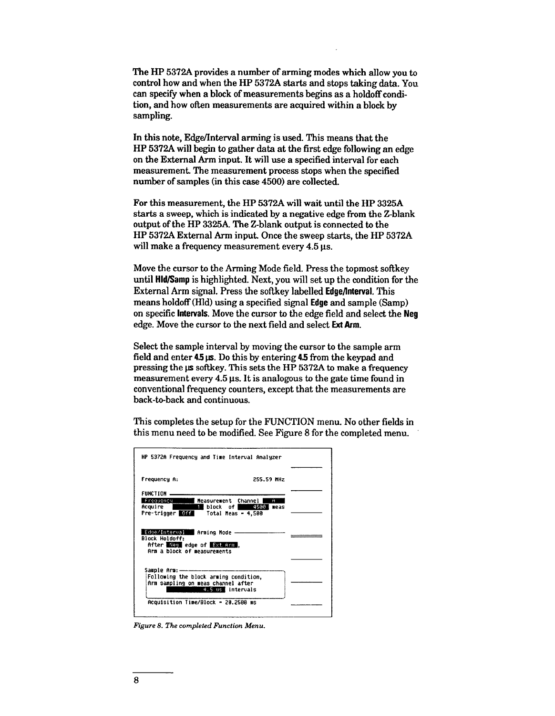The HP 5372A provides a number of arming modes which allow you to control how and when the HP 5372A starts and stops taking data. You can specify when a block of measurements begins as a holdoff condition, and how often measurements are acquired within a block by sampling.

In this note, Edge/Interval arming is used. This means that the HP 5372A will begin to gather data at the first edge following an edge on the External Arm input. It will use a specified interval for each measurement. The measurement process stops when the specified number of samples (in this case 4500) are collected.

For this measurement, the HP 5372A will wait until the HP 3325A starts a sweep, which is indicated by a negative edge from the Z-blank output of the HP 3325A. The Z-blank output is connected to the HP 5372A External Arm input. Once the sweep starts, the HP 5372A will make a frequency measurement every 4.5 us.

Move the cursor to the Arming Mode field. Press the topmost softkey until **Hld/Samp** is highlighted. Next, you will set up the condition for the External Arm signal. Press the softkey labelled **Edge/Interval**. This means holdoff (Hld) using a specified signal **Edge** and sample (Samp) on specific Intervals. Move the cursor to the edge field and select the Neg edge. Move the cursor to the next field and select Ext Arm.

Select the sample interval by moving the cursor to the sample arm field and enter 4.5 µs. Do this by entering 4.5 from the keypad and pressing the  $\mu$ s softkey. This sets the HP 5372A to make a frequency measurement every 4.5 µs. It is analogous to the gate time found in conventional frequency counters, except that the measurements are back-to-back and continuous.

This completes the setup for the FUNCTION menu. No other fields in this menu need to be modified. See Figure 8 for the completed menu.

|                                                                                                                      | HP 5372A Frequency and Time Interval Analyzer                                                   |  |
|----------------------------------------------------------------------------------------------------------------------|-------------------------------------------------------------------------------------------------|--|
| Frequency A:                                                                                                         | 255.59 MHz                                                                                      |  |
| FUNCTION                                                                                                             |                                                                                                 |  |
| Frequency<br>Acquire <b>Description</b>                                                                              | Measurement Channel  <br>Ĥ<br>1 block of 4598<br>neas<br>Pre-trigger Off Total Meas = 4,500     |  |
| Edge/Interval Arming Mode -<br><b>Block Holdoff:</b><br>After that edge of that arm ,<br>Arm a block of measurements |                                                                                                 |  |
|                                                                                                                      |                                                                                                 |  |
|                                                                                                                      | Following the block arming condition,<br>Arm sampling on meas channel after<br>4.5 us intervals |  |
|                                                                                                                      | Acquisition Time/Block = 20.2508 ms                                                             |  |
|                                                                                                                      |                                                                                                 |  |

Figure 8. The completed Function Menu.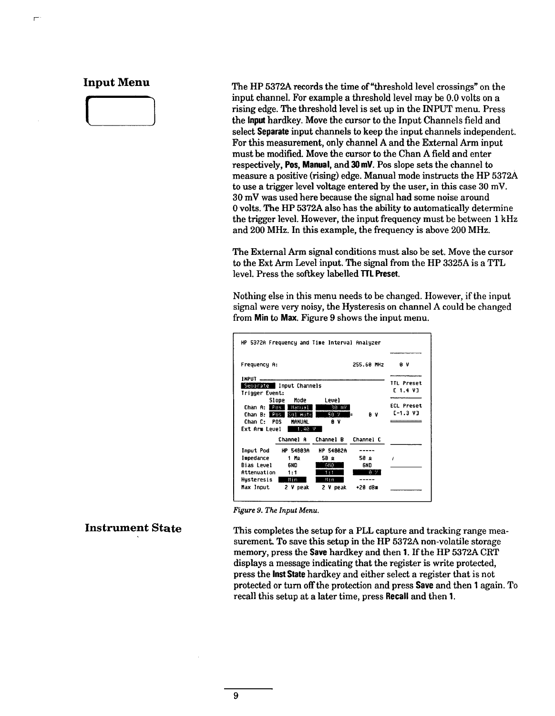# **Input Menu**

The HP 5372A records the time of "threshold level crossings" on the input channel. For example a threshold level may be 0.0 volts on a rising edge. The threshold level is set up in the INPUT menu. Press the input hardkey. Move the cursor to the Input Channels field and select Separate input channels to keep the input channels independent. For this measurement, only channel A and the External Arm input must be modified. Move the cursor to the Chan A field and enter respectively, Pos, Manual, and 30 mV. Pos slope sets the channel to measure a positive (rising) edge. Manual mode instructs the HP 5372A to use a trigger level voltage entered by the user, in this case 30 mV. 30 mV was used here because the signal had some noise around 0 volts. The HP 5372A also has the ability to automatically determine the trigger level. However, the input frequency must be between 1 kHz and 200 MHz. In this example, the frequency is above 200 MHz.

The External Arm signal conditions must also be set. Move the cursor to the Ext Arm Level input. The signal from the HP 3325A is a TTL level. Press the softkey labelled TTL Preset.

Nothing else in this menu needs to be changed. However, if the input signal were very noisy, the Hysteresis on channel A could be changed from Min to Max. Figure 9 shows the input menu.

| Frequency A:                            |                          | 255.60 MHz       | 8 V               |                   |
|-----------------------------------------|--------------------------|------------------|-------------------|-------------------|
| <b>INPUT</b><br>Separate Input Channels |                          |                  | <b>TTL Preset</b> |                   |
| Trigger Event:                          |                          | C 1.4 V]         |                   |                   |
|                                         | Mode<br>Slope            | <b>Level</b>     |                   | <b>ECL Preset</b> |
| Chan A: <b>Pas I</b>                    | Hanual                   | 30 mV            |                   |                   |
|                                         | Chan B:   Pas   Bal Auto | $50 - 2$         | ΘV<br>E           | [-1.3 V]          |
| Chan C: POS                             | <b>MANUAL</b>            | 8 V              |                   |                   |
| Ext Arm Level                           | 1.40                     | v                |                   |                   |
|                                         | Channel A                | Channel B        | Channel C         |                   |
| Input Pod                               | HP 54003A                | <b>HP 548820</b> |                   |                   |
| <b>Impedance</b>                        | 1 Mo                     | ء 58             | 58 o              |                   |
| Bias Level                              | <b>GND</b>               | GNO              | 6ND.              |                   |
| Attenuation                             | 1:1                      | 1:1              | 8. 2.             |                   |
| Hysteresis                              | – Hin                    | N In             |                   |                   |
|                                         |                          |                  |                   |                   |

Figure 9. The Input Menu.

# **Instrument State**

This completes the setup for a PLL capture and tracking range measurement. To save this setup in the HP 5372A non-volatile storage memory, press the Save hardkey and then 1. If the HP 5372A CRT displays a message indicating that the register is write protected, press the lnst State hardkey and either select a register that is not protected or turn off the protection and press **Save** and then 1 again. To recall this setup at a later time, press Recall and then 1.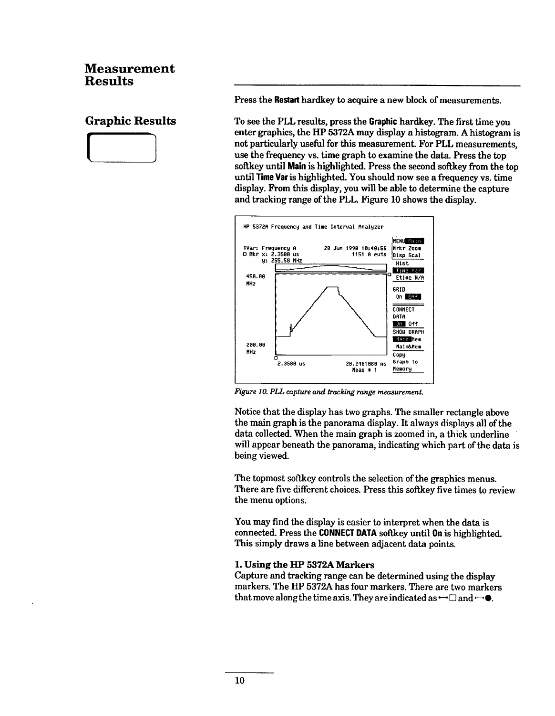# **Measurement Results**

# **Graphic Results**



Press the Restart hardkey to acquire a new block of measurements.

To see the PLL results, press the **Graphic** hardkey. The first time you enter graphics, the HP 5372A may display a histogram. A histogram is not particularly useful for this measurement. For PLL measurements, use the frequency vs. time graph to examine the data. Press the top softkey until Main is highlighted. Press the second softkey from the top until Time Var is highlighted. You should now see a frequency vs. time display. From this display, you will be able to determine the capture and tracking range of the PLL. Figure 10 shows the display.



Figure 10. PLL capture and tracking range measurement.

Notice that the display has two graphs. The smaller rectangle above the main graph is the panorama display. It always displays all of the data collected. When the main graph is zoomed in, a thick underline will appear beneath the panorama, indicating which part of the data is being viewed.

The topmost softkey controls the selection of the graphics menus. There are five different choices. Press this softkey five times to review the menu options.

You may find the display is easier to interpret when the data is connected. Press the CONNECT DATA softkey until On is highlighted. This simply draws a line between adjacent data points.

# 1. Using the HP 5372A Markers

Capture and tracking range can be determined using the display markers. The HP 5372A has four markers. There are two markers that move along the time axis. They are indicated as  $\rightarrow \square$  and  $\rightarrow \bullet$ .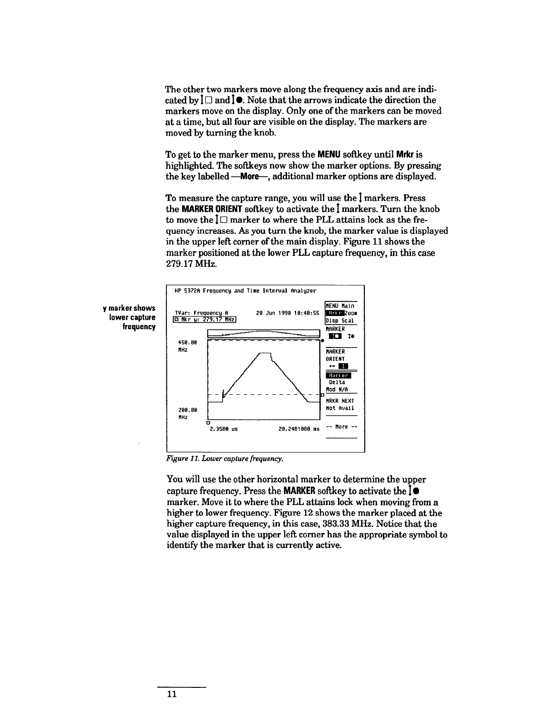The other two markers move along the frequency axis and are indicated by  $\mathbf{l} \Box$  and  $\mathbf{l} \bullet$ . Note that the arrows indicate the direction the markers move on the display. Only one of the markers can be moved at a time, but all four are visible on the display. The markers are moved by turning the knob.

To get to the marker menu, press the MENU softkey until Mrkr is highlighted. The softkeys now show the marker options. By pressing the key labelled --- More-, additional marker options are displayed.

To measure the capture range, you will use the I markers. Press the MARKER ORIENT softkey to activate the I markers. Turn the knob to move the  $I\Box$  marker to where the PLL attains lock as the frequency increases. As you turn the knob, the marker value is displayed in the upper left corner of the main display. Figure 11 shows the marker positioned at the lower PLL capture frequency, in this case 279.17 MHz.





Figure 11. Lower capture frequency.

You will use the other horizontal marker to determine the upper capture frequency. Press the **MARKER** softkey to activate the  $\phi$ marker. Move it to where the PLL attains lock when moving from a higher to lower frequency. Figure 12 shows the marker placed at the higher capture frequency, in this case, 383.33 MHz. Notice that the value displayed in the upper left corner has the appropriate symbol to identify the marker that is currently active.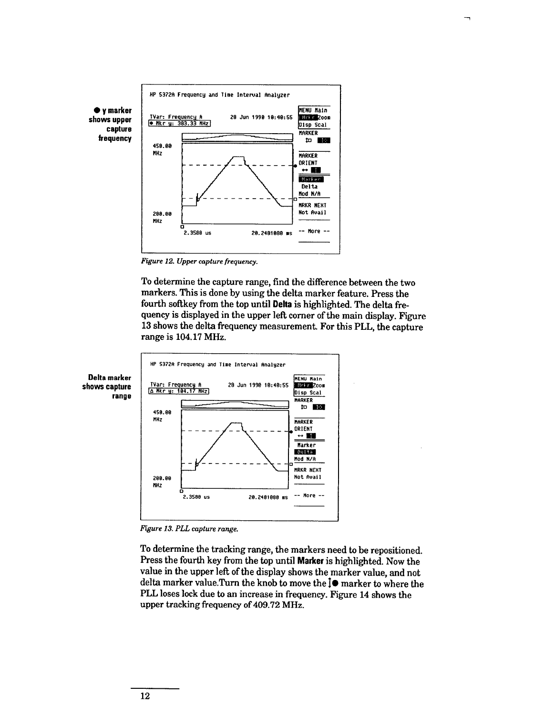

Figure 12. Upper capture frequency.

To determine the capture range, find the difference between the two markers. This is done by using the delta marker feature. Press the fourth softkey from the top until Delta is highlighted. The delta frequency is displayed in the upper left corner of the main display. Figure 13 shows the delta frequency measurement. For this PLL, the capture range is 104.17 MHz.



Figure 13. PLL capture range.

To determine the tracking range, the markers need to be repositioned. Press the fourth key from the top until Marker is highlighted. Now the value in the upper left of the display shows the marker value, and not delta marker value.Turn the knob to move the l● marker to where the PLL loses lock due to an increase in frequency. Figure 14 shows the upper tracking frequency of 409.72 MHz.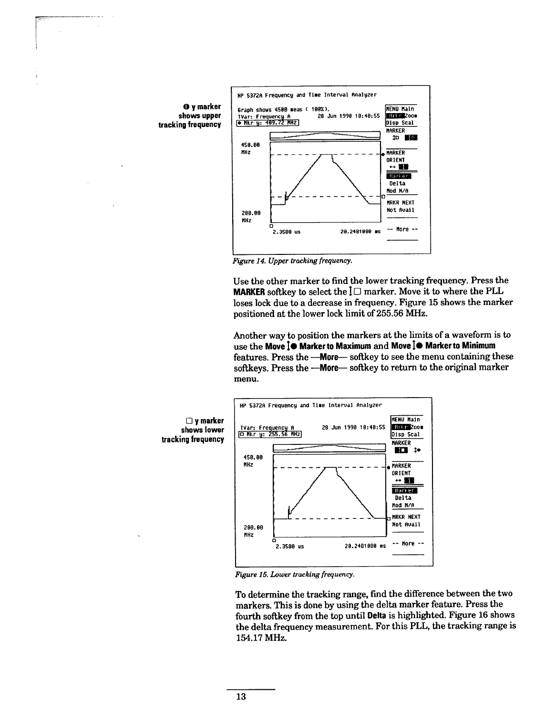

Figure 14. Upper tracking frequency.

Use the other marker to find the lower tracking frequency. Press the **MARKER** softkey to select the  $\overline{\mathbf{l}}$  marker. Move it to where the PLL loses lock due to a decrease in frequency. Figure 15 shows the marker positioned at the lower lock limit of 255.56 MHz.

Another way to position the markers at the limits of a waveform is to use the Move 1<sup>o</sup> Marker to Maximum and Move 1<sup>o</sup> Marker to Minimum features. Press the --- More-softkey to see the menu containing these softkeys. Press the --- More-softkey to return to the original marker menu.



Figure 15. Lower tracking frequency.

To determine the tracking range, find the difference between the two markers. This is done by using the delta marker feature. Press the fourth softkey from the top until Delta is highlighted. Figure 16 shows the delta frequency measurement. For this PLL, the tracking range is 154.17 MHz.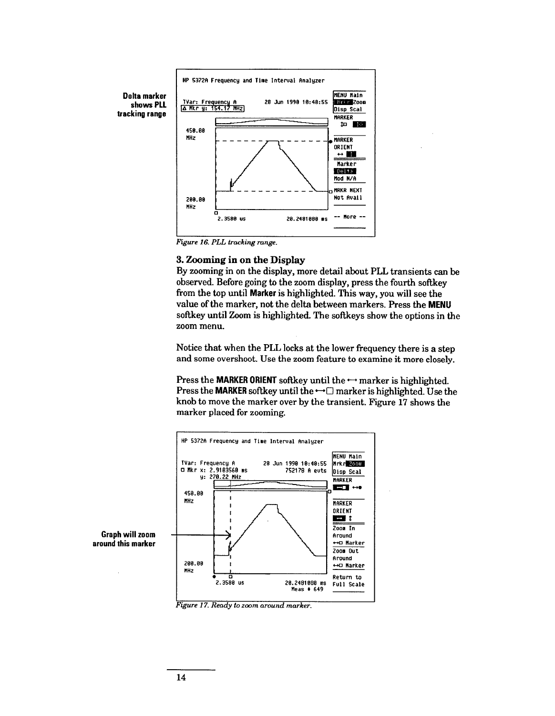

Figure 16. PLL tracking range.

# 3. Zooming in on the Display

By zooming in on the display, more detail about PLL transients can be observed. Before going to the zoom display, press the fourth softkey from the top until Marker is highlighted. This way, you will see the value of the marker, not the delta between markers. Press the MENU softkey until Zoom is highlighted. The softkeys show the options in the zoom menu.

Notice that when the PLL locks at the lower frequency there is a step and some overshoot. Use the zoom feature to examine it more closely.

Press the MARKER ORIENT softkey until the  $\rightarrow$  marker is highlighted. Press the MARKER softkey until the  $\rightarrow \square$  marker is highlighted. Use the knob to move the marker over by the transient. Figure 17 shows the marker placed for zooming.



Figure 17. Ready to zoom around marker.

around this marker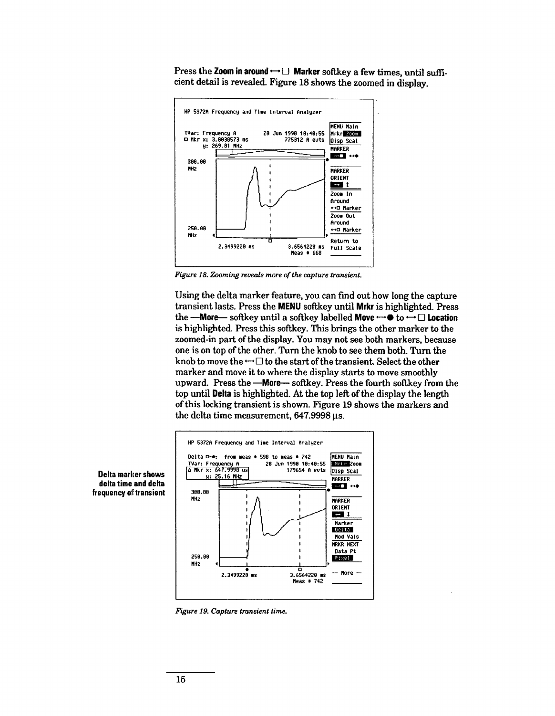Press the Zoom in around  $\rightarrow \square$  Marker softkey a few times, until sufficient detail is revealed. Figure 18 shows the zoomed in display.



Figure 18. Zooming reveals more of the capture transient.

Using the delta marker feature, you can find out how long the capture transient lasts. Press the MENU softkey until Mrkr is highlighted. Press the **---More** softkey until a softkey labelled **Move**  $\rightarrow \bullet$  to  $\rightarrow \square$  **Location** is highlighted. Press this softkey. This brings the other marker to the zoomed-in part of the display. You may not see both markers, because one is on top of the other. Turn the knob to see them both. Turn the knob to move the  $\rightarrow \Box$  to the start of the transient. Select the other marker and move it to where the display starts to move smoothly upward. Press the -- More-- softkey. Press the fourth softkey from the top until Delta is highlighted. At the top left of the display the length of this locking transient is shown. Figure 19 shows the markers and the delta time measurement, 647.9998 us.





Figure 19. Capture transient time.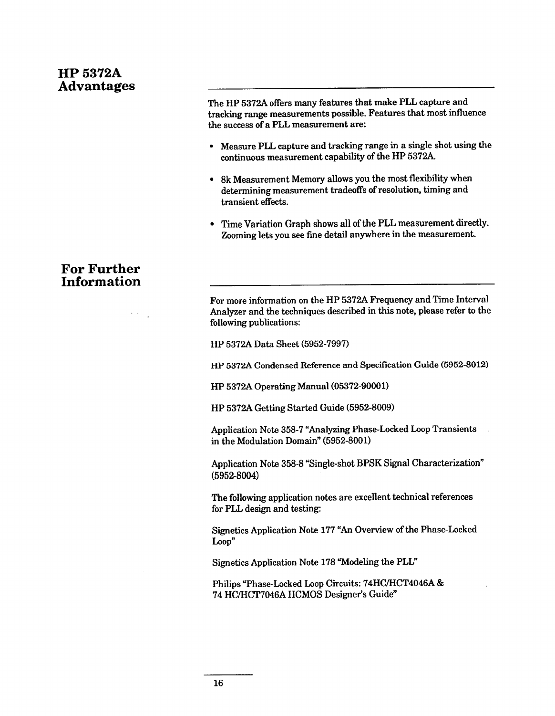# **HP 5372A Advantages**

# **For Further Information**

The HP 5372A offers many features that make PLL capture and tracking range measurements possible. Features that most influence the success of a PLL measurement are:

- Measure PLL capture and tracking range in a single shot using the continuous measurement capability of the HP 5372A.
- 8k Measurement Memory allows you the most flexibility when determining measurement tradeoffs of resolution, timing and transient effects.
- Time Variation Graph shows all of the PLL measurement directly. Zooming lets you see fine detail anywhere in the measurement.

For more information on the HP 5372A Frequency and Time Interval Analyzer and the techniques described in this note, please refer to the following publications:

HP 5372A Data Sheet (5952-7997)

HP 5372A Condensed Reference and Specification Guide (5952-8012)

HP 5372A Operating Manual (05372-90001)

HP 5372A Getting Started Guide (5952-8009)

Application Note 358-7 "Analyzing Phase-Locked Loop Transients in the Modulation Domain" (5952-8001)

Application Note 358-8 "Single-shot BPSK Signal Characterization"  $(5952 - 8004)$ 

The following application notes are excellent technical references for PLL design and testing:

Signetics Application Note 177 "An Overview of the Phase-Locked Loop"

Signetics Application Note 178 "Modeling the PLL"

Philips "Phase-Locked Loop Circuits: 74HC/HCT4046A & 74 HC/HCT7046A HCMOS Designer's Guide"